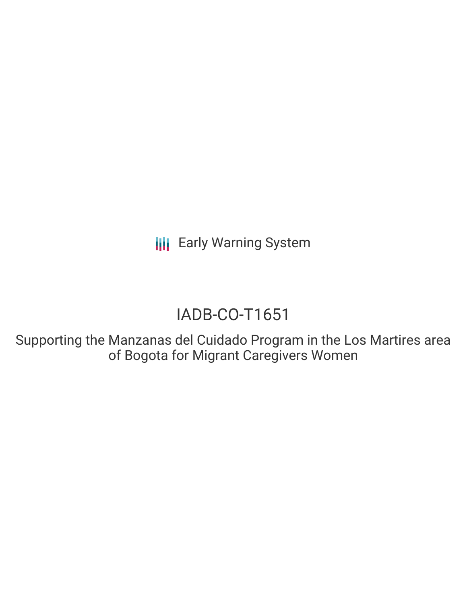**III** Early Warning System

# IADB-CO-T1651

Supporting the Manzanas del Cuidado Program in the Los Martires area of Bogota for Migrant Caregivers Women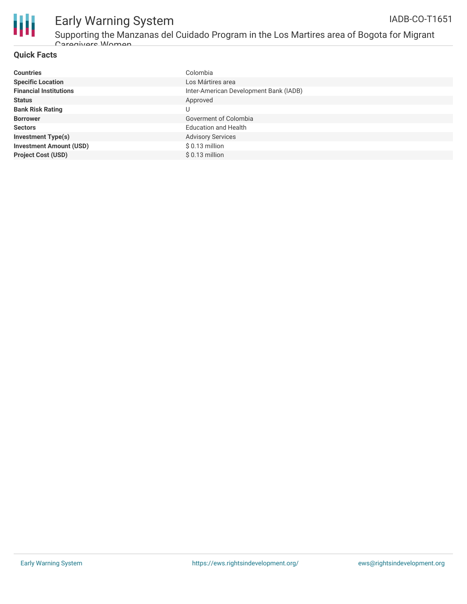

## Early Warning System IADB-CO-T1651

Supporting the Manzanas del Cuidado Program in the Los Martires area of Bogota for Migrant Caregivers Women

## **Quick Facts**

| <b>Countries</b>               | Colombia                               |
|--------------------------------|----------------------------------------|
| <b>Specific Location</b>       | Los Mártires area                      |
| <b>Financial Institutions</b>  | Inter-American Development Bank (IADB) |
| <b>Status</b>                  | Approved                               |
| <b>Bank Risk Rating</b>        |                                        |
| <b>Borrower</b>                | Goverment of Colombia                  |
| <b>Sectors</b>                 | <b>Education and Health</b>            |
| <b>Investment Type(s)</b>      | <b>Advisory Services</b>               |
| <b>Investment Amount (USD)</b> | $$0.13$ million                        |
| <b>Project Cost (USD)</b>      | $$0.13$ million                        |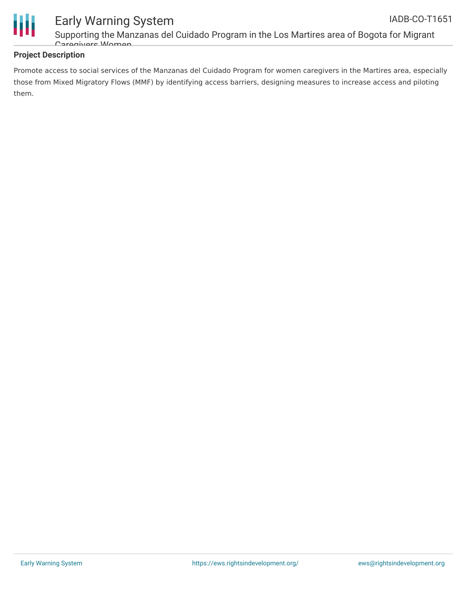

Supporting the Manzanas del Cuidado Program in the Los Martires area of Bogota for Migrant Caregivers Women

## **Project Description**

Early Warning System

Promote access to social services of the Manzanas del Cuidado Program for women caregivers in the Martires area, especially those from Mixed Migratory Flows (MMF) by identifying access barriers, designing measures to increase access and piloting them.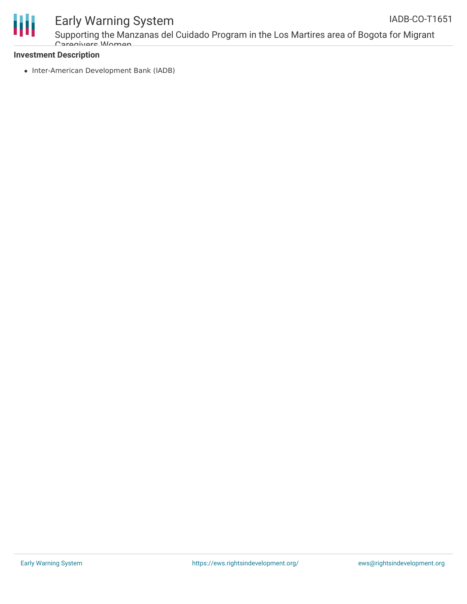

## Early Warning System

Supporting the Manzanas del Cuidado Program in the Los Martires area of Bogota for Migrant Caregivers Women

## **Investment Description**

• Inter-American Development Bank (IADB)